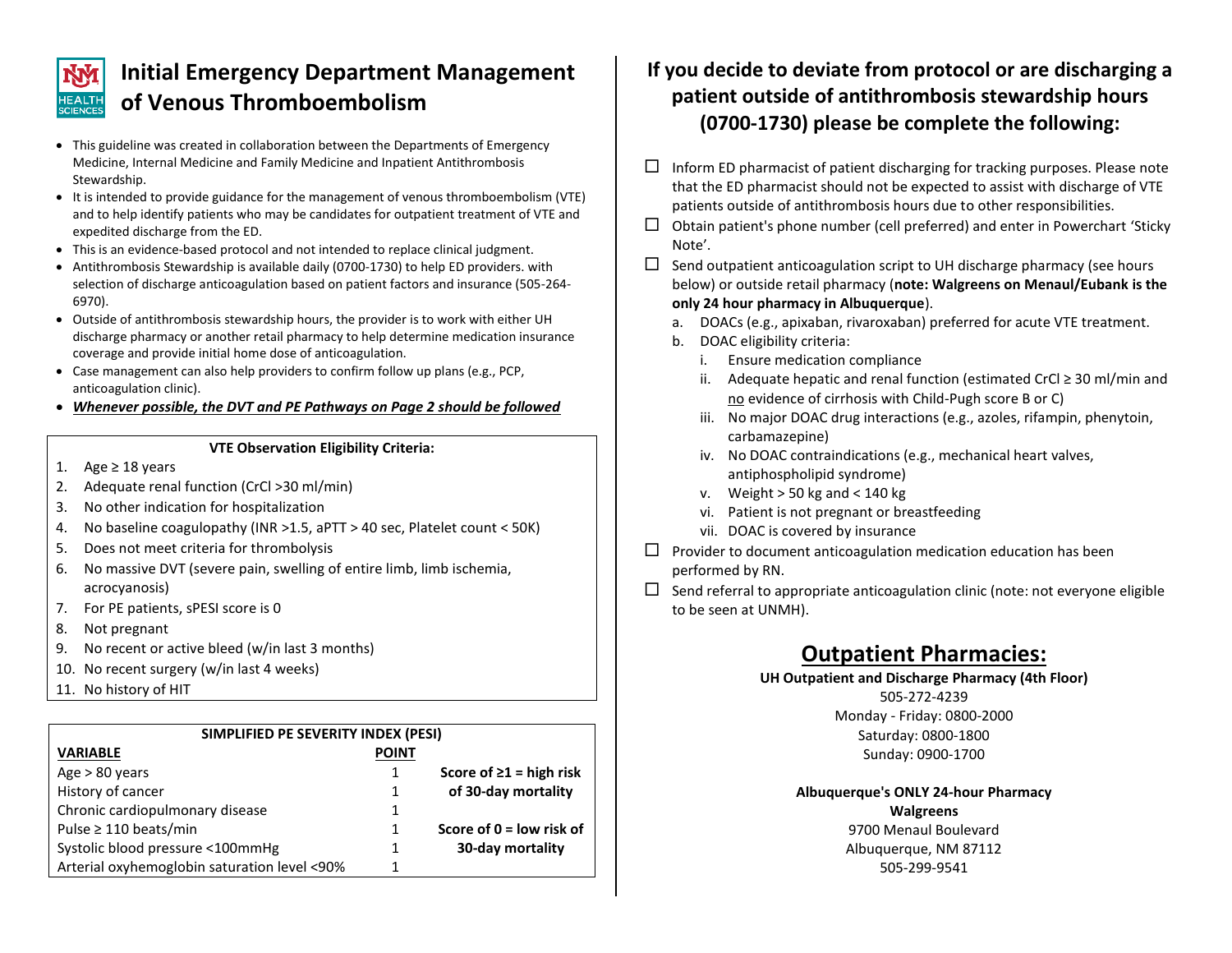

# **Initial Emergency Department Management of Venous Thromboembolism**

- This guideline was created in collaboration between the Departments of Emergency Medicine, Internal Medicine and Family Medicine and Inpatient Antithrombosis Stewardship.
- It is intended to provide guidance for the management of venous thromboembolism (VTE) and to help identify patients who may be candidates for outpatient treatment of VTE and expedited discharge from the ED.
- This is an evidence-based protocol and not intended to replace clinical judgment.
- Antithrombosis Stewardship is available daily (0700-1730) to help ED providers. with selection of discharge anticoagulation based on patient factors and insurance (505-264- 6970).
- Outside of antithrombosis stewardship hours, the provider is to work with either UH discharge pharmacy or another retail pharmacy to help determine medication insurance coverage and provide initial home dose of anticoagulation.
- Case management can also help providers to confirm follow up plans (e.g., PCP, anticoagulation clinic).
- *Whenever possible, the DVT and PE Pathways on Page 2 should be followed*

#### **VTE Observation Eligibility Criteria:**

- 1. Age ≥ 18 years
- 2. Adequate renal function (CrCl >30 ml/min)
- 3. No other indication for hospitalization
- 4. No baseline coagulopathy (INR >1.5, aPTT > 40 sec, Platelet count < 50K)
- 5. Does not meet criteria for thrombolysis
- 6. No massive DVT (severe pain, swelling of entire limb, limb ischemia, acrocyanosis)
- 7. For PE patients, sPESI score is 0
- 8. Not pregnant
- 9. No recent or active bleed (w/in last 3 months)
- 10. No recent surgery (w/in last 4 weeks)
- 11. No history of HIT

| SIMPLIFIED PE SEVERITY INDEX (PESI)          |              |                               |
|----------------------------------------------|--------------|-------------------------------|
| <b>VARIABLE</b>                              | <b>POINT</b> |                               |
| Age $> 80$ years                             |              | Score of $\geq 1$ = high risk |
| History of cancer                            | 1            | of 30-day mortality           |
| Chronic cardiopulmonary disease              |              |                               |
| Pulse $\geq 110$ beats/min                   |              | Score of $0 =$ low risk of    |
| Systolic blood pressure <100mmHg             | 1            | 30-day mortality              |
| Arterial oxyhemoglobin saturation level <90% |              |                               |

### **If you decide to deviate from protocol or are discharging a patient outside of antithrombosis stewardship hours (0700-1730) please be complete the following:**

- $\Box$  Inform ED pharmacist of patient discharging for tracking purposes. Please note that the ED pharmacist should not be expected to assist with discharge of VTE patients outside of antithrombosis hours due to other responsibilities.
- $\Box$  Obtain patient's phone number (cell preferred) and enter in Powerchart 'Sticky Note'.
- $\Box$  Send outpatient anticoagulation script to UH discharge pharmacy (see hours below) or outside retail pharmacy (**note: Walgreens on Menaul/Eubank is the only 24 hour pharmacy in Albuquerque**).
	- a. DOACs (e.g., apixaban, rivaroxaban) preferred for acute VTE treatment.
	- b. DOAC eligibility criteria:
		- i. Ensure medication compliance
		- ii. Adequate hepatic and renal function (estimated CrCl ≥ 30 ml/min and no evidence of cirrhosis with Child-Pugh score B or C)
		- iii. No major DOAC drug interactions (e.g., azoles, rifampin, phenytoin, carbamazepine)
		- iv. No DOAC contraindications (e.g., mechanical heart valves, antiphospholipid syndrome)
		- v. Weight  $> 50$  kg and  $< 140$  kg
		- vi. Patient is not pregnant or breastfeeding
		- vii. DOAC is covered by insurance
- $\Box$  Provider to document anticoagulation medication education has been performed by RN.
- $\square$  Send referral to appropriate anticoagulation clinic (note: not everyone eligible to be seen at UNMH).

## **Outpatient Pharmacies:**

**UH Outpatient and Discharge Pharmacy (4th Floor)**

505-272-4239 Monday - Friday: 0800-2000 Saturday: 0800-1800 Sunday: 0900-1700

### **Albuquerque's ONLY 24-hour Pharmacy**

**Walgreens**

9700 Menaul Boulevard Albuquerque, NM 87112 505-299-9541